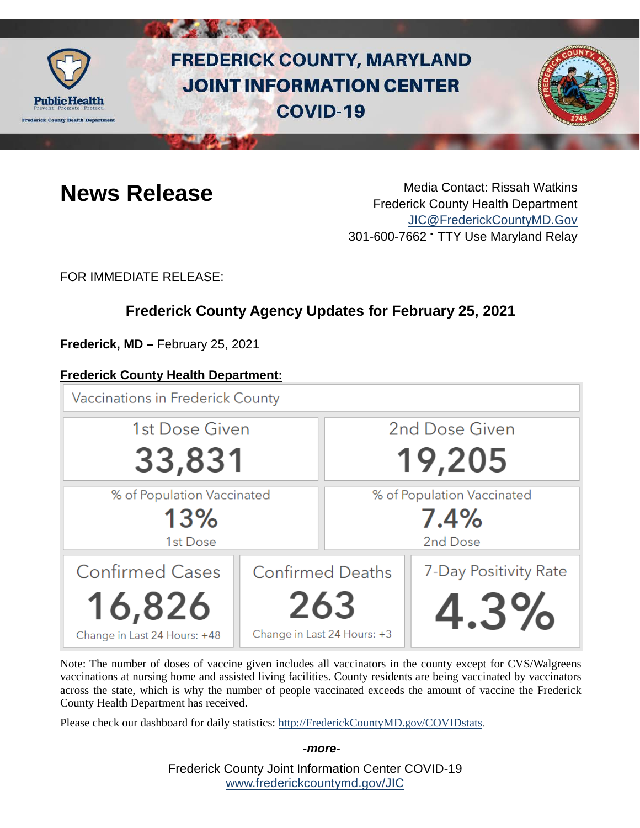

# **FREDERICK COUNTY, MARYLAND JOINT INFORMATION CENTER COVID-19**



**News Release** Media Contact: Rissah Watkins Frederick County Health Department [JIC@FrederickCountyMD.Gov](mailto:JIC@FrederickCountyMD.Gov) 301-600-7662 • TTY Use Maryland Relay

FOR IMMEDIATE RELEASE:

# **Frederick County Agency Updates for February 25, 2021**

**Frederick, MD –** February 25, 2021

### **Frederick County Health Department:**

**Vaccinations in Frederick County** 



Note: The number of doses of vaccine given includes all vaccinators in the county except for CVS/Walgreens vaccinations at nursing home and assisted living facilities. County residents are being vaccinated by vaccinators across the state, which is why the number of people vaccinated exceeds the amount of vaccine the Frederick County Health Department has received.

Please check our dashboard for daily statistics: [http://FrederickCountyMD.gov/COVIDstats.](http://frederickcountymd.gov/COVIDstats)

Frederick County Joint Information Center COVID-19 [www.frederickcountymd.gov/JIC](https://frederickcountymd.gov/JIC) *-more-*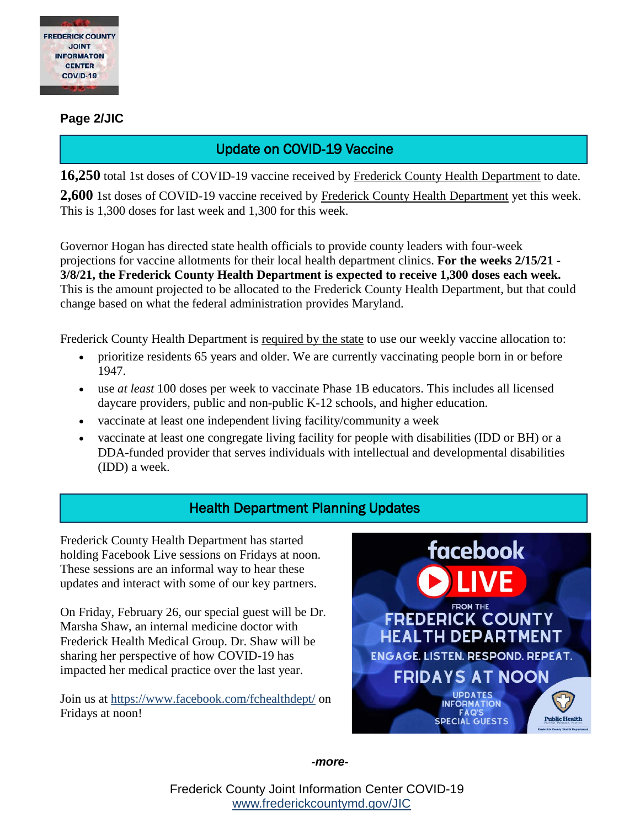

#### **Page 2/JIC**

# Update on COVID-19 Vaccine

**16,250** total 1st doses of COVID-19 vaccine received by Frederick County Health Department to date.

**2,600** 1st doses of COVID-19 vaccine received by Frederick County Health Department yet this week. This is 1,300 doses for last week and 1,300 for this week.

Governor Hogan has directed state health officials to provide county leaders with four-week projections for vaccine allotments for their local health department clinics. **For the weeks 2/15/21 - 3/8/21, the Frederick County Health Department is expected to receive 1,300 doses each week.** This is the amount projected to be allocated to the Frederick County Health Department, but that could change based on what the federal administration provides Maryland.

Frederick County Health Department is required by the state to use our weekly vaccine allocation to:

- prioritize residents 65 years and older. We are currently vaccinating people born in or before 1947.
- use *at least* 100 doses per week to vaccinate Phase 1B educators. This includes all licensed daycare providers, public and non-public K-12 schools, and higher education.
- vaccinate at least one independent living facility/community a week
- vaccinate at least one congregate living facility for people with disabilities (IDD or BH) or a DDA-funded provider that serves individuals with intellectual and developmental disabilities (IDD) a week.

# Health Department Planning Updates

Frederick County Health Department has started holding Facebook Live sessions on Fridays at noon. These sessions are an informal way to hear these updates and interact with some of our key partners.

On Friday, February 26, our special guest will be Dr. Marsha Shaw, an internal medicine doctor with Frederick Health Medical Group. Dr. Shaw will be sharing her perspective of how COVID-19 has impacted her medical practice over the last year.

Join us at<https://www.facebook.com/fchealthdept/> on Fridays at noon!



*-more-*

Frederick County Joint Information Center COVID-19 [www.frederickcountymd.gov/JIC](https://frederickcountymd.gov/JIC)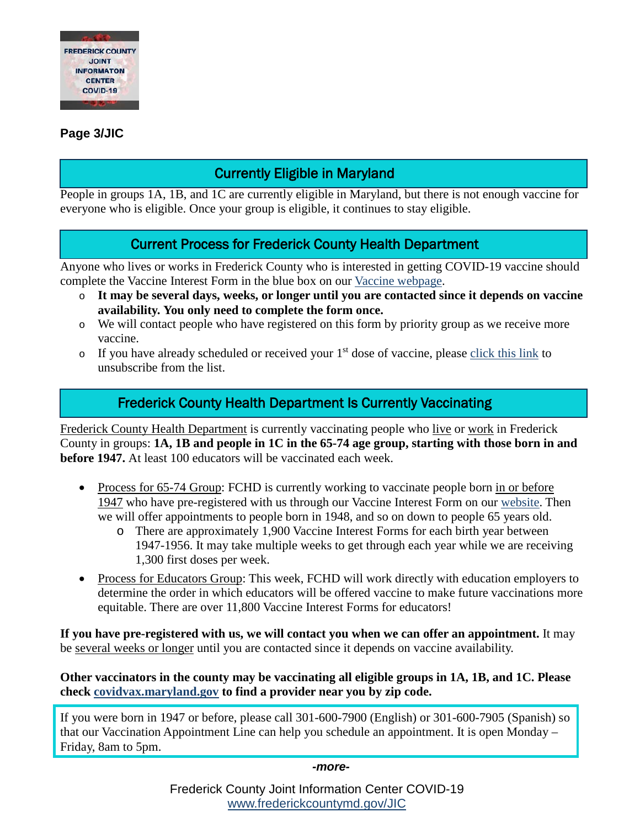

#### **Page 3/JIC**

# Currently Eligible in Maryland

People in groups 1A, 1B, and 1C are currently eligible in Maryland, but there is not enough vaccine for everyone who is eligible. Once your group is eligible, it continues to stay eligible.

### Current Process for Frederick County Health Department

Anyone who lives or works in Frederick County who is interested in getting COVID-19 vaccine should complete the Vaccine Interest Form in the blue box on our [Vaccine webpage.](https://health.frederickcountymd.gov/629/COVID-19-Vaccine)

- o **It may be several days, weeks, or longer until you are contacted since it depends on vaccine availability. You only need to complete the form once.**
- o We will contact people who have registered on this form by priority group as we receive more vaccine.
- $\circ$  If you have already scheduled or received your 1<sup>st</sup> dose of vaccine, please [click this link](https://forms.office.com/Pages/ResponsePage.aspx?id=LTTGSAY4Q0id7GpAsbuHNwWNYN1Yz5tBp0XTFg0s7vVUQzg2UFZYWVEzOThNVUtWRkpYSjNOUlBSUCQlQCN0PWcu) to unsubscribe from the list.

# Frederick County Health Department Is Currently Vaccinating

Frederick County Health Department is currently vaccinating people who live or work in Frederick County in groups: **1A, 1B and people in 1C in the 65-74 age group, starting with those born in and before 1947.** At least 100 educators will be vaccinated each week.

- Process for 65-74 Group: FCHD is currently working to vaccinate people born in or before 1947 who have pre-registered with us through our Vaccine Interest Form on our [website.](https://health.frederickcountymd.gov/629/COVID-19-Vaccine) Then we will offer appointments to people born in 1948, and so on down to people 65 years old.
	- o There are approximately 1,900 Vaccine Interest Forms for each birth year between 1947-1956. It may take multiple weeks to get through each year while we are receiving 1,300 first doses per week.
- Process for Educators Group: This week, FCHD will work directly with education employers to determine the order in which educators will be offered vaccine to make future vaccinations more equitable. There are over 11,800 Vaccine Interest Forms for educators!

**If you have pre-registered with us, we will contact you when we can offer an appointment.** It may be several weeks or longer until you are contacted since it depends on vaccine availability.

**Other vaccinators in the county may be vaccinating all eligible groups in 1A, 1B, and 1C. Please check [covidvax.maryland.gov](https://coronavirus.maryland.gov/pages/vaccine) to find a provider near you by zip code.**

If you were born in 1947 or before, please call 301-600-7900 (English) or 301-600-7905 (Spanish) so that our Vaccination Appointment Line can help you schedule an appointment. It is open Monday – Friday, 8am to 5pm.

*-more-*